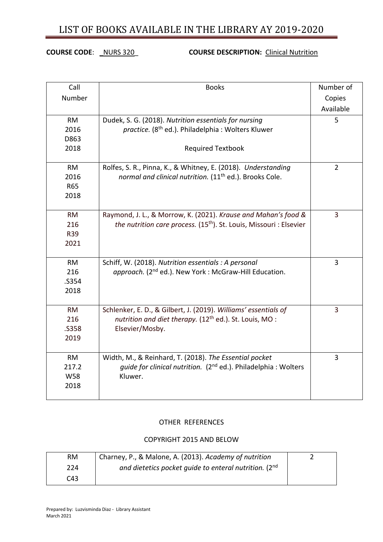# LIST OF BOOKS AVAILABLE IN THE LIBRARY AY 2019-2020

## **COURSE CODE**: \_NURS 320\_ **COURSE DESCRIPTION:** Clinical Nutrition

| Call       | <b>Books</b>                                                                    | Number of      |
|------------|---------------------------------------------------------------------------------|----------------|
| Number     |                                                                                 | Copies         |
|            |                                                                                 | Available      |
| <b>RM</b>  | Dudek, S. G. (2018). Nutrition essentials for nursing                           | 5              |
| 2016       | practice. (8 <sup>th</sup> ed.). Philadelphia: Wolters Kluwer                   |                |
| D863       |                                                                                 |                |
| 2018       | <b>Required Textbook</b>                                                        |                |
|            |                                                                                 |                |
| <b>RM</b>  | Rolfes, S. R., Pinna, K., & Whitney, E. (2018). Understanding                   | $\overline{2}$ |
| 2016       | normal and clinical nutrition. (11 <sup>th</sup> ed.). Brooks Cole.             |                |
| R65        |                                                                                 |                |
| 2018       |                                                                                 |                |
|            |                                                                                 |                |
| <b>RM</b>  | Raymond, J. L., & Morrow, K. (2021). Krause and Mahan's food &                  | 3              |
| 216        | the nutrition care process. (15 <sup>th</sup> ). St. Louis, Missouri : Elsevier |                |
| R39        |                                                                                 |                |
| 2021       |                                                                                 |                |
| <b>RM</b>  | Schiff, W. (2018). Nutrition essentials : A personal                            | 3              |
| 216        | approach. (2 <sup>nd</sup> ed.). New York : McGraw-Hill Education.              |                |
| .S354      |                                                                                 |                |
| 2018       |                                                                                 |                |
|            |                                                                                 |                |
| <b>RM</b>  | Schlenker, E. D., & Gilbert, J. (2019). Williams' essentials of                 | 3              |
| 216        | nutrition and diet therapy. (12 <sup>th</sup> ed.). St. Louis, MO:              |                |
| .S358      | Elsevier/Mosby.                                                                 |                |
| 2019       |                                                                                 |                |
|            |                                                                                 |                |
| <b>RM</b>  | Width, M., & Reinhard, T. (2018). The Essential pocket                          | 3              |
| 217.2      | quide for clinical nutrition. (2 <sup>nd</sup> ed.). Philadelphia: Wolters      |                |
| <b>W58</b> | Kluwer.                                                                         |                |
| 2018       |                                                                                 |                |
|            |                                                                                 |                |

### OTHER REFERENCES

#### COPYRIGHT 2015 AND BELOW

| RM  | Charney, P., & Malone, A. (2013). Academy of nutrition |  |
|-----|--------------------------------------------------------|--|
| 224 | and dietetics pocket quide to enteral nutrition. (2nd  |  |
| C43 |                                                        |  |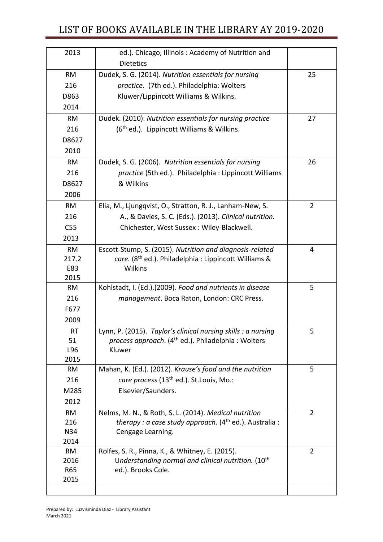# LIST OF BOOKS AVAILABLE IN THE LIBRARY AY 2019-2020

| 2013      | ed.). Chicago, Illinois: Academy of Nutrition and                 |                |
|-----------|-------------------------------------------------------------------|----------------|
|           | <b>Dietetics</b>                                                  |                |
| <b>RM</b> | Dudek, S. G. (2014). Nutrition essentials for nursing             | 25             |
| 216       | practice. (7th ed.). Philadelphia: Wolters                        |                |
| D863      | Kluwer/Lippincott Williams & Wilkins.                             |                |
| 2014      |                                                                   |                |
| <b>RM</b> | Dudek. (2010). Nutrition essentials for nursing practice          | 27             |
| 216       | (6 <sup>th</sup> ed.). Lippincott Williams & Wilkins.             |                |
| D8627     |                                                                   |                |
| 2010      |                                                                   |                |
| <b>RM</b> | Dudek, S. G. (2006). Nutrition essentials for nursing             | 26             |
| 216       | practice (5th ed.). Philadelphia : Lippincott Williams            |                |
| D8627     | & Wilkins                                                         |                |
| 2006      |                                                                   |                |
| <b>RM</b> | Elia, M., Ljungqvist, O., Stratton, R. J., Lanham-New, S.         | $\overline{2}$ |
| 216       | A., & Davies, S. C. (Eds.). (2013). Clinical nutrition.           |                |
| C55       | Chichester, West Sussex : Wiley-Blackwell.                        |                |
| 2013      |                                                                   |                |
| <b>RM</b> | Escott-Stump, S. (2015). Nutrition and diagnosis-related          | 4              |
| 217.2     | care. (8 <sup>th</sup> ed.). Philadelphia : Lippincott Williams & |                |
| E83       | Wilkins                                                           |                |
| 2015      |                                                                   |                |
| <b>RM</b> | Kohlstadt, I. (Ed.).(2009). Food and nutrients in disease         | 5              |
| 216       | management. Boca Raton, London: CRC Press.                        |                |
| F677      |                                                                   |                |
| 2009      |                                                                   |                |
| <b>RT</b> | Lynn, P. (2015). Taylor's clinical nursing skills : a nursing     | 5              |
| 51        | process approach. (4 <sup>th</sup> ed.). Philadelphia: Wolters    |                |
| L96       | Kluwer                                                            |                |
| 2015      |                                                                   |                |
| <b>RM</b> | Mahan, K. (Ed.). (2012). Krause's food and the nutrition          | 5              |
| 216       | care process (13 <sup>th</sup> ed.). St. Louis, Mo.:              |                |
| M285      | Elsevier/Saunders.                                                |                |
| 2012      |                                                                   |                |
| <b>RM</b> | Nelms, M. N., & Roth, S. L. (2014). Medical nutrition             | $\overline{2}$ |
| 216       | <i>therapy : a case study approach.</i> $(4th$ ed.). Australia :  |                |
| N34       | Cengage Learning.                                                 |                |
| 2014      |                                                                   |                |
| <b>RM</b> | Rolfes, S. R., Pinna, K., & Whitney, E. (2015).                   | $\overline{2}$ |
| 2016      | Understanding normal and clinical nutrition. (10 <sup>th</sup>    |                |
| R65       | ed.). Brooks Cole.                                                |                |
| 2015      |                                                                   |                |
|           |                                                                   |                |